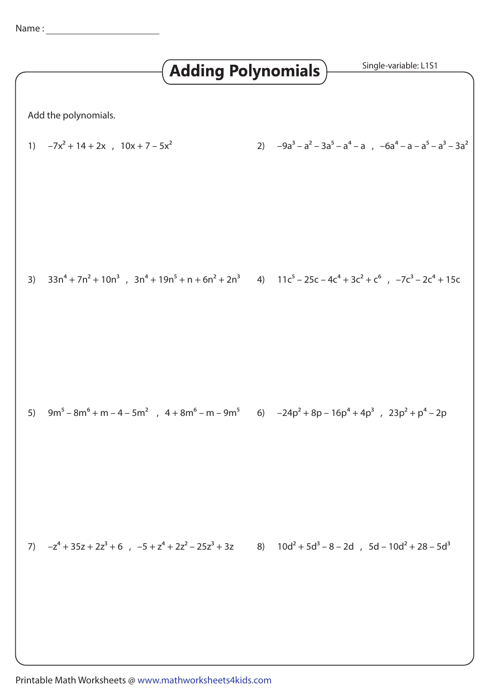